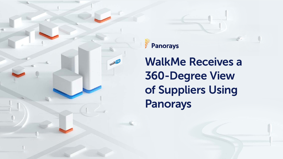



# **WalkMe Receives a** 360-Degree View of Suppliers Using Panorays

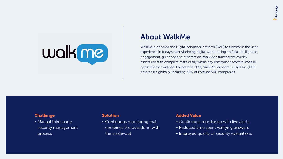

• Manual third-party **•** security management process

• Continuous monitoring that combines the outside-in with the inside-out

#### **About WalkMe**

WalkMe pioneered the Digital Adoption Platform (DAP) to transform the user experience in today's overwhelming digital world. Using artificial intelligence, engagement, guidance and automation, WalkMe's transparent overlay assists users to complete tasks easily within any enterprise software, mobile application or website. Founded in 2011, WalkMe software is used by 2,000 enterprises globally, including 30% of Fortune 500 companies.

#### **Challenge Challenge Challenge Challenge Challenge Challenge Challenge Challenge Challenge Challenge Challenge Challenge Challenge Challenge Challenge Challenge Challenge Challenge**

- Continuous monitoring with live alerts
- Reduced time spent verifying answers
- Improved quality of security evaluations

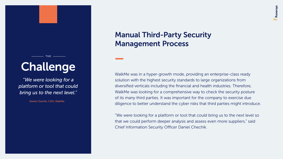## Challenge

 $-$  THE  $-$ 

*"We were looking for a* platform or tool that could bring us to the next level."

Daniel Chechik, CISO, WalkMe

### **Manual Third-Party Security** Management Process

WalkMe was in a hyper-growth mode, providing an enterprise-class ready solution with the highest security standards to large organizations from diversified verticals including the financial and health industries. Therefore, WalkMe was looking for a comprehensive way to check the security posture of its many third parties. It was important for the company to exercise due diligence to better understand the cyber risks that third parties might introduce.

"We were looking for a platform or tool that could bring us to the next level so that we could perform deeper analysis and assess even more suppliers," said Chief Information Security Officer Daniel Chechik.

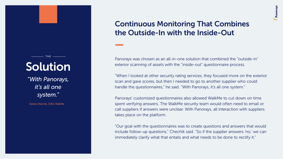"With Panorays, *it's all one ".system*

Daniel Chechik, CISO, WalkMe

## **Continuous Monitoring That Combines** the Outside-In with the Inside-Out

Panorays was chosen as an all-in-one solution that combined the "outside-in" exterior scanning of assets with the "inside-out" questionnaire process.

"When I looked at other security rating services, they focused more on the exterior scan and gave scores, but then I needed to go to another supplier who could handle the questionnaires," he said. "With Panorays, it's all one system."

Panorays' customized questionnaires also allowed WalkMe to cut down on time spent verifying answers. The WalkMe security team would often need to email or call suppliers if answers were unclear. With Panorays, all interaction with suppliers takes place on the platform.

"Our goal with the questionnaires was to create questions and answers that would include follow-up questions," Chechik said. "So if the supplier answers 'no,' we can immediately clarify what that entails and what needs to be done to rectify it."







## Solution

 $THE =$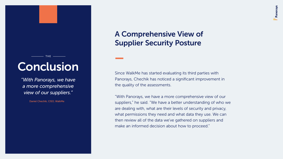## Conclusion

THE **----------**

*<i>Mith Panorays, we have* a more comprehensive view of our suppliers."

Daniel Chechik, CISO, WalkMe

## A Comprehensive View of **Supplier Security Posture**

Since WalkMe has started evaluating its third parties with Panorays, Chechik has noticed a significant improvement in the quality of the assessments.

"With Panorays, we have a more comprehensive view of our suppliers," he said. "We have a better understanding of who we are dealing with, what are their levels of security and privacy, what permissions they need and what data they use. We can then review all of the data we've gathered on suppliers and make an informed decision about how to proceed."